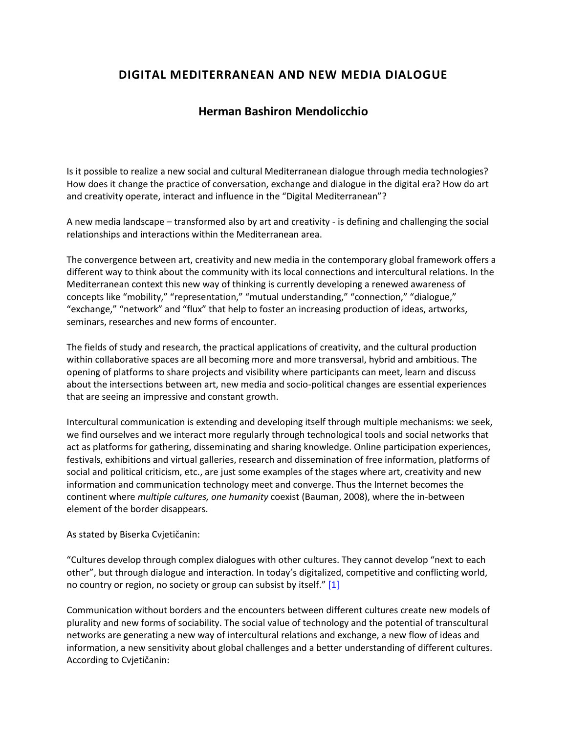## **DIGITAL MEDITERRANEAN AND NEW MEDIA DIALOGUE**

## **Herman Bashiron Mendolicchio**

Is it possible to realize a new social and cultural Mediterranean dialogue through media technologies? How does it change the practice of conversation, exchange and dialogue in the digital era? How do art and creativity operate, interact and influence in the "Digital Mediterranean"?

A new media landscape – transformed also by art and creativity - is defining and challenging the social relationships and interactions within the Mediterranean area.

The convergence between art, creativity and new media in the contemporary global framework offers a different way to think about the community with its local connections and intercultural relations. In the Mediterranean context this new way of thinking is currently developing a renewed awareness of concepts like "mobility," "representation," "mutual understanding," "connection," "dialogue," "exchange," "network" and "flux" that help to foster an increasing production of ideas, artworks, seminars, researches and new forms of encounter.

The fields of study and research, the practical applications of creativity, and the cultural production within collaborative spaces are all becoming more and more transversal, hybrid and ambitious. The opening of platforms to share projects and visibility where participants can meet, learn and discuss about the intersections between art, new media and socio-political changes are essential experiences that are seeing an impressive and constant growth.

Intercultural communication is extending and developing itself through multiple mechanisms: we seek, we find ourselves and we interact more regularly through technological tools and social networks that act as platforms for gathering, disseminating and sharing knowledge. Online participation experiences, festivals, exhibitions and virtual galleries, research and dissemination of free information, platforms of social and political criticism, etc., are just some examples of the stages where art, creativity and new information and communication technology meet and converge. Thus the Internet becomes the continent where *multiple cultures, one humanity* coexist (Bauman, 2008), where the in-between element of the border disappears.

## As stated by Biserka Cvjetičanin:

"Cultures develop through complex dialogues with other cultures. They cannot develop "next to each other", but through dialogue and interaction. In today's digitalized, competitive and conflicting world, no country or region, no society or group can subsist by itself." [1]

Communication without borders and the encounters between different cultures create new models of plurality and new forms of sociability. The social value of technology and the potential of transcultural networks are generating a new way of intercultural relations and exchange, a new flow of ideas and information, a new sensitivity about global challenges and a better understanding of different cultures. According to Cvjetičanin: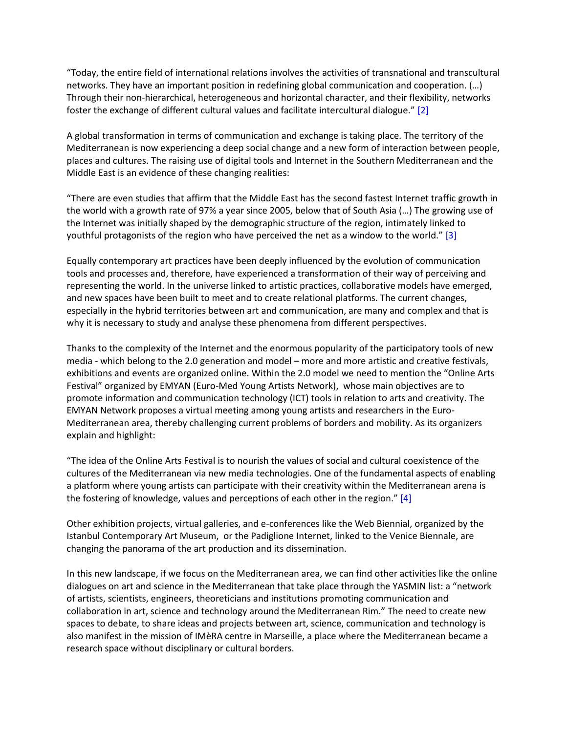"Today, the entire field of international relations involves the activities of transnational and transcultural networks. They have an important position in redefining global communication and cooperation. (…) Through their non-hierarchical, heterogeneous and horizontal character, and their flexibility, networks foster the exchange of different cultural values and facilitate intercultural dialogue." [2]

A global transformation in terms of communication and exchange is taking place. The territory of the Mediterranean is now experiencing a deep social change and a new form of interaction between people, places and cultures. The raising use of digital tools and Internet in the Southern Mediterranean and the Middle East is an evidence of these changing realities:

"There are even studies that affirm that the Middle East has the second fastest Internet traffic growth in the world with a growth rate of 97% a year since 2005, below that of South Asia (…) The growing use of the Internet was initially shaped by the demographic structure of the region, intimately linked to youthful protagonists of the region who have perceived the net as a window to the world." [3]

Equally contemporary art practices have been deeply influenced by the evolution of communication tools and processes and, therefore, have experienced a transformation of their way of perceiving and representing the world. In the universe linked to artistic practices, collaborative models have emerged, and new spaces have been built to meet and to create relational platforms. The current changes, especially in the hybrid territories between art and communication, are many and complex and that is why it is necessary to study and analyse these phenomena from different perspectives.

Thanks to the complexity of the Internet and the enormous popularity of the participatory tools of new media - which belong to the 2.0 generation and model – more and more artistic and creative festivals, exhibitions and events are organized online. Within the 2.0 model we need to mention the "Online Arts Festival" organized by EMYAN (Euro-Med Young Artists Network), whose main objectives are to promote information and communication technology (ICT) tools in relation to arts and creativity. The EMYAN Network proposes a virtual meeting among young artists and researchers in the Euro-Mediterranean area, thereby challenging current problems of borders and mobility. As its organizers explain and highlight:

"The idea of the Online Arts Festival is to nourish the values of social and cultural coexistence of the cultures of the Mediterranean via new media technologies. One of the fundamental aspects of enabling a platform where young artists can participate with their creativity within the Mediterranean arena is the fostering of knowledge, values and perceptions of each other in the region." [4]

Other exhibition projects, virtual galleries, and e-conferences like the Web Biennial, organized by the Istanbul Contemporary Art Museum, or the Padiglione Internet, linked to the Venice Biennale, are changing the panorama of the art production and its dissemination.

In this new landscape, if we focus on the Mediterranean area, we can find other activities like the online dialogues on art and science in the Mediterranean that take place through the YASMIN list: a "network of artists, scientists, engineers, theoreticians and institutions promoting communication and collaboration in art, science and technology around the Mediterranean Rim." The need to create new spaces to debate, to share ideas and projects between art, science, communication and technology is also manifest in the mission of IMèRA centre in Marseille, a place where the Mediterranean became a research space without disciplinary or cultural borders.